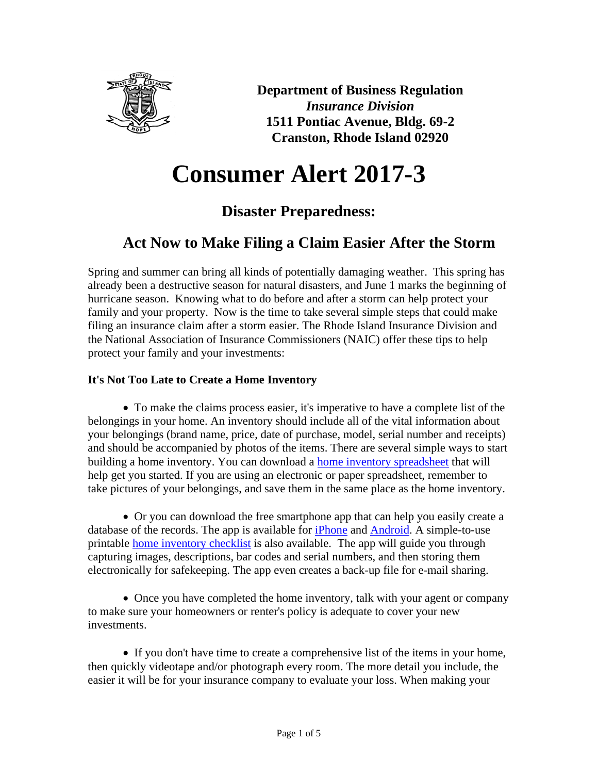

**Department of Business Regulation** *Insurance Division* **1511 Pontiac Avenue, Bldg. 69-2 Cranston, Rhode Island 02920**

# **Consumer Alert 2017-3**

## **Disaster Preparedness:**

## **Act Now to Make Filing a Claim Easier After the Storm**

Spring and summer can bring all kinds of potentially damaging weather. This spring has already been a destructive season for natural disasters, and June 1 marks the beginning of hurricane season. Knowing what to do before and after a storm can help protect your family and your property. Now is the time to take several simple steps that could make filing an insurance claim after a storm easier. The Rhode Island Insurance Division and the National Association of Insurance Commissioners (NAIC) offer these tips to help protect your family and your investments:

### **It's Not Too Late to Create a Home Inventory**

• To make the claims process easier, it's imperative to have a complete list of the belongings in your home. An inventory should include all of the vital information about your belongings (brand name, price, date of purchase, model, serial number and receipts) and should be accompanied by photos of the items. There are several simple ways to start building a home inventory. You can download a [home inventory spreadsheet](http://www.insureuonline.org/home_inventory_checklist.pdf) that will help get you started. If you are using an electronic or paper spreadsheet, remember to take pictures of your belongings, and save them in the same place as the home inventory.

• Or you can download the free smartphone app that can help you easily create a database of the records. The app is available for *iPhone* and [Android.](https://market.android.com/details?id=org.naic.scrapbook&feature=search_result) A simple-to-use printable [home inventory checklist](http://www.insureuonline.org/home_inventory_checklist.pdf) is also available. The app will guide you through capturing images, descriptions, bar codes and serial numbers, and then storing them electronically for safekeeping. The app even creates a back-up file for e-mail sharing.

• Once you have completed the home inventory, talk with your agent or company to make sure your homeowners or renter's policy is adequate to cover your new investments.

• If you don't have time to create a comprehensive list of the items in your home, then quickly videotape and/or photograph every room. The more detail you include, the easier it will be for your insurance company to evaluate your loss. When making your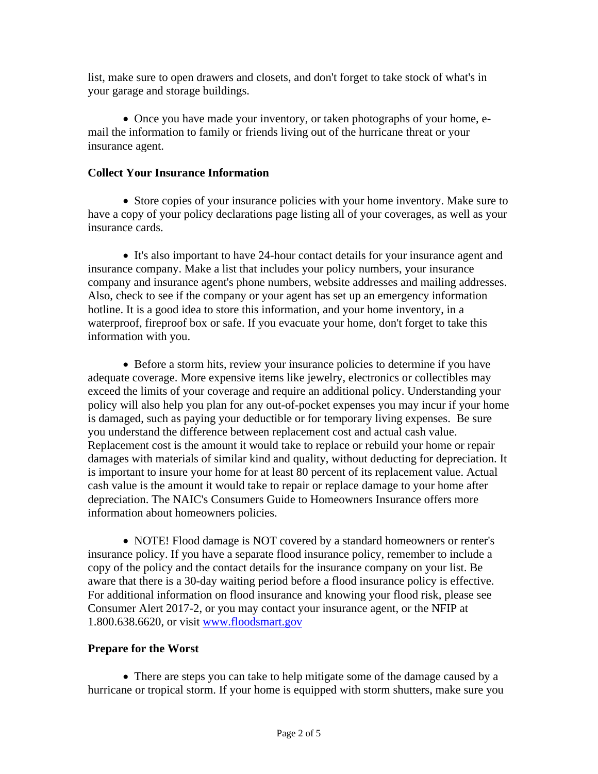list, make sure to open drawers and closets, and don't forget to take stock of what's in your garage and storage buildings.

• Once you have made your inventory, or taken photographs of your home, email the information to family or friends living out of the hurricane threat or your insurance agent.

#### **Collect Your Insurance Information**

• Store copies of your insurance policies with your home inventory. Make sure to have a copy of your policy declarations page listing all of your coverages, as well as your insurance cards.

• It's also important to have 24-hour contact details for your insurance agent and insurance company. Make a list that includes your policy numbers, your insurance company and insurance agent's phone numbers, website addresses and mailing addresses. Also, check to see if the company or your agent has set up an emergency information hotline. It is a good idea to store this information, and your home inventory, in a waterproof, fireproof box or safe. If you evacuate your home, don't forget to take this information with you.

• Before a storm hits, review your insurance policies to determine if you have adequate coverage. More expensive items like jewelry, electronics or collectibles may exceed the limits of your coverage and require an additional policy. Understanding your policy will also help you plan for any out-of-pocket expenses you may incur if your home is damaged, such as paying your deductible or for temporary living expenses. Be sure you understand the difference between replacement cost and actual cash value. Replacement cost is the amount it would take to replace or rebuild your home or repair damages with materials of similar kind and quality, without deducting for depreciation. It is important to insure your home for at least 80 percent of its replacement value. Actual cash value is the amount it would take to repair or replace damage to your home after depreciation. The NAIC's Consumers Guide to Homeowners Insurance offers more information about homeowners policies.

• NOTE! Flood damage is NOT covered by a standard homeowners or renter's insurance policy. If you have a separate flood insurance policy, remember to include a copy of the policy and the contact details for the insurance company on your list. Be aware that there is a 30-day waiting period before a flood insurance policy is effective. For additional information on flood insurance and knowing your flood risk, please see Consumer Alert 2017-2, or you may contact your insurance agent, or the NFIP at 1.800.638.6620, or visit [www.floodsmart.gov](http://www.floodsmart.gov/)

#### **Prepare for the Worst**

• There are steps you can take to help mitigate some of the damage caused by a hurricane or tropical storm. If your home is equipped with storm shutters, make sure you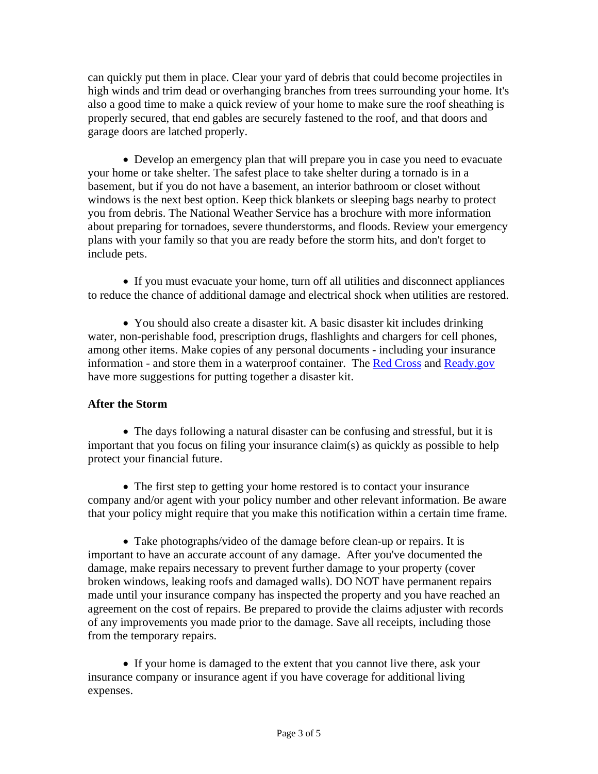can quickly put them in place. Clear your yard of debris that could become projectiles in high winds and trim dead or overhanging branches from trees surrounding your home. It's also a good time to make a quick review of your home to make sure the roof sheathing is properly secured, that end gables are securely fastened to the roof, and that doors and garage doors are latched properly.

• Develop an emergency plan that will prepare you in case you need to evacuate your home or take shelter. The safest place to take shelter during a tornado is in a basement, but if you do not have a basement, an interior bathroom or closet without windows is the next best option. Keep thick blankets or sleeping bags nearby to protect you from debris. The National Weather Service has a brochure with more information about preparing for tornadoes, severe thunderstorms, and floods. Review your emergency plans with your family so that you are ready before the storm hits, and don't forget to include pets.

• If you must evacuate your home, turn off all utilities and disconnect appliances to reduce the chance of additional damage and electrical shock when utilities are restored.

• You should also create a disaster kit. A basic disaster kit includes drinking water, non-perishable food, prescription drugs, flashlights and chargers for cell phones, among other items. Make copies of any personal documents - including your insurance information - and store them in a waterproof container. The [Red Cross](http://www.redcross.org/prepare/location/home-family/get-kit) and [Ready.gov](http://www.ready.gov/build-a-kit) have more suggestions for putting together a disaster kit.

#### **After the Storm**

• The days following a natural disaster can be confusing and stressful, but it is important that you focus on filing your insurance claim(s) as quickly as possible to help protect your financial future.

• The first step to getting your home restored is to contact your insurance company and/or agent with your policy number and other relevant information. Be aware that your policy might require that you make this notification within a certain time frame.

• Take photographs/video of the damage before clean-up or repairs. It is important to have an accurate account of any damage. After you've documented the damage, make repairs necessary to prevent further damage to your property (cover broken windows, leaking roofs and damaged walls). DO NOT have permanent repairs made until your insurance company has inspected the property and you have reached an agreement on the cost of repairs. Be prepared to provide the claims adjuster with records of any improvements you made prior to the damage. Save all receipts, including those from the temporary repairs.

• If your home is damaged to the extent that you cannot live there, ask your insurance company or insurance agent if you have coverage for additional living expenses.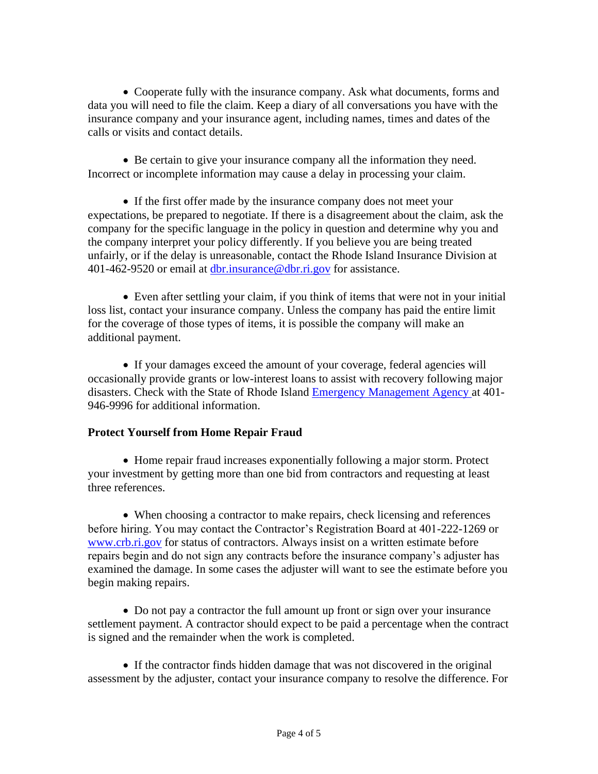• Cooperate fully with the insurance company. Ask what documents, forms and data you will need to file the claim. Keep a diary of all conversations you have with the insurance company and your insurance agent, including names, times and dates of the calls or visits and contact details.

• Be certain to give your insurance company all the information they need. Incorrect or incomplete information may cause a delay in processing your claim.

• If the first offer made by the insurance company does not meet your expectations, be prepared to negotiate. If there is a disagreement about the claim, ask the company for the specific language in the policy in question and determine why you and the company interpret your policy differently. If you believe you are being treated unfairly, or if the delay is unreasonable, contact the Rhode Island Insurance Division at 401-462-9520 or email at [dbr.insurance@dbr.ri.gov](mailto:dbr.insurance@dbr.ri.gov) for assistance.

• Even after settling your claim, if you think of items that were not in your initial loss list, contact your insurance company. Unless the company has paid the entire limit for the coverage of those types of items, it is possible the company will make an additional payment.

• If your damages exceed the amount of your coverage, federal agencies will occasionally provide grants or low-interest loans to assist with recovery following major disasters. Check with the State of Rhode Island [Emergency Management Agency a](http://www.riema.ri.gov/)t 401- 946-9996 for additional information.

#### **Protect Yourself from Home Repair Fraud**

• Home repair fraud increases exponentially following a major storm. Protect your investment by getting more than one bid from contractors and requesting at least three references.

• When choosing a contractor to make repairs, check licensing and references before hiring. You may contact the Contractor's Registration Board at 401-222-1269 or [www.crb.ri.gov](http://www.crb.ri.gov/) for status of contractors. Always insist on a written estimate before repairs begin and do not sign any contracts before the insurance company's adjuster has examined the damage. In some cases the adjuster will want to see the estimate before you begin making repairs.

• Do not pay a contractor the full amount up front or sign over your insurance settlement payment. A contractor should expect to be paid a percentage when the contract is signed and the remainder when the work is completed.

• If the contractor finds hidden damage that was not discovered in the original assessment by the adjuster, contact your insurance company to resolve the difference. For